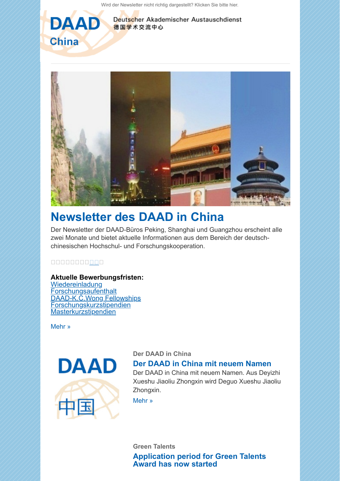[Wird der Newsletter nicht richtig dargestellt? Klicken Sie bitte hier.](https://scnem.com/a.php?sid=c0ek6.136gge4,f=1,n=c0ek6.136gge4,l=jnqlay.1fmg3pf)



Deutscher Akademischer Austauschdienst 德国学术交流中心



# **[Newsletter des DAAD in China](https://scnem.com/a.php?sid=c0ek6.136gge4,f=6,n=c0ek6.136gge4,artref=7333130,l=jnqla4.2cnad1o)**

Der Newsletter der DAAD-Büros Peking, Shanghai und Guangzhou erscheint alle zwei Monate und bietet aktuelle Informationen aus dem Bereich der deutschchinesischen Hochschul- und Forschungskooperation.

## 00000000000

# **Aktuelle Bewerbungsfristen:**

[Wiedereinladung](http://scnem.com/goto.php?l=jnqla6.2rdg08p,u=8ccc717101048a39,n=c0ek6.136gge4,art_id=c0ek7.1j2pasa) [Forschungsaufenthalt](http://scnem.com/goto.php?l=jnqla7.6kglqf,u=8ccc717101048a39,n=c0ek6.136gge4,art_id=c0ek7.1j2pasa) [DAAD-K.C.Wong Fellowships](http://scnem.com/goto.php?l=jnqla8.2gq7nt1,u=8ccc717101048a39,n=c0ek6.136gge4,art_id=c0ek7.1j2pasa) [Forschungskurzstipendien](http://scnem.com/goto.php?l=jnqla9.goocb3,u=8ccc717101048a39,n=c0ek6.136gge4,art_id=c0ek7.1j2pasa) [Masterkurzstipendien](http://scnem.com/goto.php?l=jnqlaa.2o22q3e,u=8ccc717101048a39,n=c0ek6.136gge4,art_id=c0ek7.1j2pasa)

[Mehr »](https://scnem.com/a.php?sid=c0ek6.136gge4,f=6,n=c0ek6.136gge4,artref=7333130,l=jnqla4.2cnad1o)



## **Der DAAD in China**

## **[Der DAAD in China mit neuem Namen](https://scnem.com/a.php?sid=c0ek6.136gge4,f=6,n=c0ek6.136gge4,artref=7333113,l=jnqlab.a5moaa)**

Der DAAD in China mit neuem Namen. Aus Deyizhi Xueshu Jiaoliu Zhongxin wird Deguo Xueshu Jiaoliu Zhongxin.

[Mehr »](https://scnem.com/a.php?sid=c0ek6.136gge4,f=6,n=c0ek6.136gge4,artref=7333113,l=jnqlab.a5moaa)

**Green Talents [Application period for Green Talents](https://scnem.com/a.php?sid=c0ek6.136gge4,f=6,n=c0ek6.136gge4,artref=7333129,l=jnqlac.2bsdmss) Award has now started**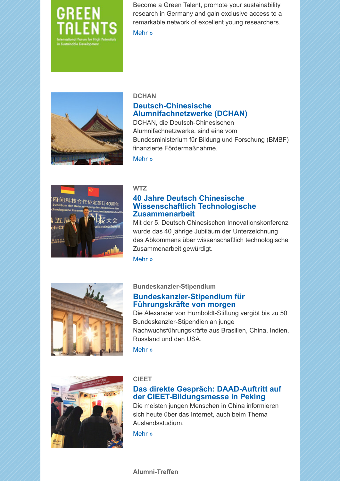

Become a Green Talent, promote your sustainability research in Germany and gain exclusive access to a remarkable network of excellent young researchers.

[Mehr »](https://scnem.com/a.php?sid=c0ek6.136gge4,f=6,n=c0ek6.136gge4,artref=7333129,l=jnqlac.2bsdmss)



# **DCHAN Deutsch-Chinesische [Alumnifachnetzwerke \(DCHAN\)](https://scnem.com/a.php?sid=c0ek6.136gge4,f=6,n=c0ek6.136gge4,artref=7333126,l=jnqlad.lg5c22)**

DCHAN, die Deutsch-Chinesischen Alumnifachnetzwerke, sind eine vom Bundesministerium für Bildung und Forschung (BMBF) finanzierte Fördermaßnahme.

[Mehr »](https://scnem.com/a.php?sid=c0ek6.136gge4,f=6,n=c0ek6.136gge4,artref=7333126,l=jnqlad.lg5c22)



# **WTZ**

# **40 Jahre Deutsch Chinesische [Wissenschaftlich Technologische](https://scnem.com/a.php?sid=c0ek6.136gge4,f=6,n=c0ek6.136gge4,artref=7333128,l=jnqlae.2hj226f) Zusammenarbeit**

Mit der 5. Deutsch Chinesischen Innovationskonferenz wurde das 40 jährige Jubiläum der Unterzeichnung des Abkommens über wissenschaftlich technologische Zusammenarbeit gewürdigt.

[Mehr »](https://scnem.com/a.php?sid=c0ek6.136gge4,f=6,n=c0ek6.136gge4,artref=7333128,l=jnqlae.2hj226f)



# **Bundeskanzler-Stipendium**

# **[Bundeskanzler-Stipendium für](https://scnem.com/a.php?sid=c0ek6.136gge4,f=6,n=c0ek6.136gge4,artref=7333112,l=jnqlaf.54eecd) Führungskräfte von morgen**

Die Alexander von Humboldt-Stiftung vergibt bis zu 50 Bundeskanzler-Stipendien an junge Nachwuchsführungskräfte aus Brasilien, China, Indien, Russland und den USA.

[Mehr »](https://scnem.com/a.php?sid=c0ek6.136gge4,f=6,n=c0ek6.136gge4,artref=7333112,l=jnqlaf.54eecd)



## **CIEET**

# **[Das direkte Gespräch: DAAD-Auftritt auf](https://scnem.com/a.php?sid=c0ek6.136gge4,f=6,n=c0ek6.136gge4,artref=7333127,l=jnqlag.1t197rc) der CIEET-Bildungsmesse in Peking**

Die meisten jungen Menschen in China informieren sich heute über das Internet, auch beim Thema Auslandsstudium.

[Mehr »](https://scnem.com/a.php?sid=c0ek6.136gge4,f=6,n=c0ek6.136gge4,artref=7333127,l=jnqlag.1t197rc)

## **Alumni-Treffen**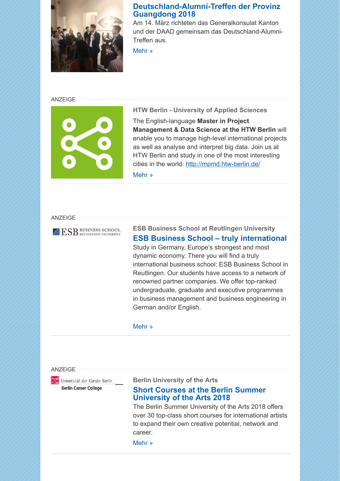

# **[Deutschland-Alumni-Treffen der Provinz](https://scnem.com/a.php?sid=c0ek6.136gge4,f=6,n=c0ek6.136gge4,artref=7333111,l=jnqlah.noq2ba) Guangdong 2018**

Am 14. März richteten das Generalkonsulat Kanton und der DAAD gemeinsam das Deutschland-Alumni-Treffen aus.

[Mehr »](https://scnem.com/a.php?sid=c0ek6.136gge4,f=6,n=c0ek6.136gge4,artref=7333111,l=jnqlah.noq2ba)

#### ANZEIGE



**HTW Berlin - University of Applied Sciences**

The English-language **Master in Project Management & Data Science at the HTW Berlin** will enable you to manage high-level international projects as well as analyse and interpret big data. Join us at HTW Berlin and study in one of the most interesting cities in the world: [http://mpmd.htw-berlin.de/](http://scnem.com/goto.php?l=jnqlaj.15fh8k0,u=8ccc717101048a39,n=c0ek6.136gge4,art_id=c0eko.1ehbpt4)

[Mehr »](https://scnem.com/a.php?sid=c0ek6.136gge4,f=6,n=c0ek6.136gge4,artref=7333125,l=jnqlai.1h7s4e6)

#### ANZEIGE

ESB BUSINESS SCHOOL

**ESB Business School at Reutlingen University [ESB Business School – truly international](https://scnem.com/a.php?sid=c0ek6.136gge4,f=6,n=c0ek6.136gge4,artref=7333124,l=jnqlak.1r79lar)** Study in Germany, Europe's strongest and most dynamic economy. There you will find a truly international business school: ESB Business School in Reutlingen. Our students have access to a network of renowned partner companies. We offer top-ranked undergraduate, graduate and executive programmes in business management and business engineering in German and/or English.

#### [Mehr »](https://scnem.com/a.php?sid=c0ek6.136gge4,f=6,n=c0ek6.136gge4,artref=7333124,l=jnqlak.1r79lar)

#### ANZEIGE

Universität der Künste Berlin **Berlin Career College** 

## **Berlin University of the Arts**

## **[Short Courses at the Berlin Summer](https://scnem.com/a.php?sid=c0ek6.136gge4,f=6,n=c0ek6.136gge4,artref=7333123,l=jnqlal.q5jaq9) University of the Arts 2018**

The Berlin Summer University of the Arts 2018 offers over 30 top-class short courses for international artists to expand their own creative potential, network and career.

[Mehr »](https://scnem.com/a.php?sid=c0ek6.136gge4,f=6,n=c0ek6.136gge4,artref=7333123,l=jnqlal.q5jaq9)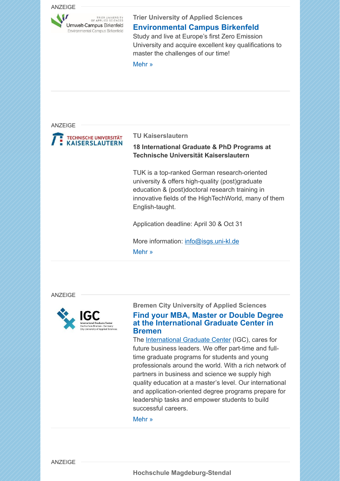#### ANZEIGE



**Trier University of Applied Sciences [Environmental Campus Birkenfeld](https://scnem.com/a.php?sid=c0ek6.136gge4,f=6,n=c0ek6.136gge4,artref=7333122,l=jnqlam.1g9mogh)** Study and live at Europe's first Zero Emission

University and acquire excellent key qualifications to master the challenges of our time!

[Mehr »](https://scnem.com/a.php?sid=c0ek6.136gge4,f=6,n=c0ek6.136gge4,artref=7333122,l=jnqlam.1g9mogh)

ANZEIGE



### **TU Kaiserslautern**

# **18 International Graduate & PhD Programs at Technische Universität Kaiserslautern**

TUK is a top-ranked German research-oriented university & offers high-quality (post)graduate education & (post)doctoral research training in innovative fields of the HighTechWorld, many of them English-taught.

Application deadline: April 30 & Oct 31

More information: [info@isgs.uni-kl.de](mailto:info@isgs.uni-kl.de) [Mehr »](https://scnem.com/a.php?sid=c0ek6.136gge4,f=6,n=c0ek6.136gge4,artref=7333121,l=jnqlan.15tithl)

ANZEIGE



# **Bremen City University of Applied Sciences [Find your MBA, Master or Double Degree](https://scnem.com/a.php?sid=c0ek6.136gge4,f=6,n=c0ek6.136gge4,artref=7333120,l=jnqlao.232ghh6) at the International Graduate Center in Bremen**

The [International Graduate Center](http://scnem.com/goto.php?l=jnqlap.10ieah8,u=8ccc717101048a39,n=c0ek6.136gge4,art_id=c0el1.1dos717) (IGC), cares for future business leaders. We offer part-time and fulltime graduate programs for students and young professionals around the world. With a rich network of partners in business and science we supply high quality education at a master's level. Our international and application-oriented degree programs prepare for leadership tasks and empower students to build successful careers.

[Mehr »](https://scnem.com/a.php?sid=c0ek6.136gge4,f=6,n=c0ek6.136gge4,artref=7333120,l=jnqlao.232ghh6)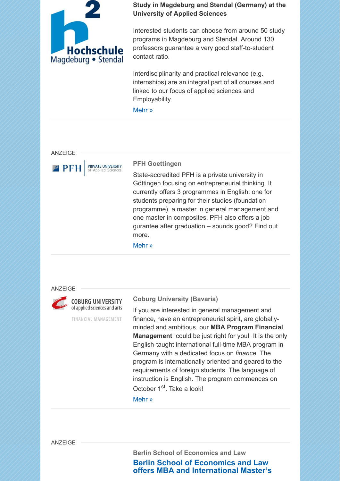

# **Study in Magdeburg and Stendal (Germany) at the University of Applied Sciences**

Interested students can choose from around 50 study programs in Magdeburg and Stendal. Around 130 professors guarantee a very good staff-to-student contact ratio.

Interdisciplinarity and practical relevance (e.g. internships) are an integral part of all courses and linked to our focus of applied sciences and Employability.

[Mehr »](https://scnem.com/a.php?sid=c0ek6.136gge4,f=6,n=c0ek6.136gge4,artref=7333119,l=jnqlaq.1mr1rt1)

**ANZEIGE** 



#### **PFH Goettingen**

State-accredited PFH is a private university in Göttingen focusing on entrepreneurial thinking. It currently offers 3 programmes in English: one for students preparing for their studies (foundation programme), a master in general management and one master in composites. PFH also offers a job gurantee after graduation – sounds good? Find out more.

[Mehr »](https://scnem.com/a.php?sid=c0ek6.136gge4,f=6,n=c0ek6.136gge4,artref=7333118,l=jnqlar.1b4bsn3)

ANZEIGE



**COBURG UNIVERSITY** of applied sciences and arts

FINANCIAL MANAGEMENT

### **Coburg University (Bavaria)**

If you are interested in general management and finance, have an entrepreneurial spirit, are globallyminded and ambitious, our **MBA Program Financial Management** could be just right for you! It is the only English-taught international full-time MBA program in Germany with a dedicated focus on *finance*. The program is internationally oriented and geared to the requirements of foreign students. The language of instruction is English. The program commences on October 1<sup>st</sup>. Take a look!

[Mehr »](https://scnem.com/a.php?sid=c0ek6.136gge4,f=6,n=c0ek6.136gge4,artref=7333117,l=jnqlas.24f5dih)

ANZEIGE

**Berlin School of Economics and Law Berlin School of Economics and Law [offers MBA and International Master's](https://scnem.com/a.php?sid=c0ek6.136gge4,f=6,n=c0ek6.136gge4,artref=7333116,l=jnqlat.t8d5a7)**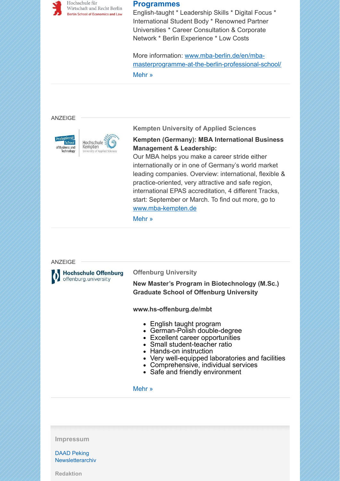

### **[Programmes](https://scnem.com/a.php?sid=c0ek6.136gge4,f=6,n=c0ek6.136gge4,artref=7333116,l=jnqlat.t8d5a7)**

English-taught \* Leadership Skills \* Digital Focus \* International Student Body \* Renowned Partner Universities \* Career Consultation & Corporate Network \* Berlin Experience \* Low Costs

More information: www.mba-berlin.de/en/mba[masterprogramme-at-the-berlin-professional-school/](http://scnem.com/goto.php?l=jnqlau.1md1dbs,u=8ccc717101048a39,n=c0ek6.136gge4,art_id=c0elb.bc01dn) [Mehr »](https://scnem.com/a.php?sid=c0ek6.136gge4,f=6,n=c0ek6.136gge4,artref=7333116,l=jnqlat.t8d5a7)

#### ANZEIGE



**Kempten University of Applied Sciences**

### **Kempten (Germany): MBA International Business Management & Leadership:**

Our MBA helps you make a career stride either internationally or in one of Germany's world market leading companies. Overview: international, flexible & practice-oriented, very attractive and safe region, international EPAS accreditation, 4 different Tracks, start: September or March. To find out more, go to [www.mba-kempten.de](http://scnem.com/goto.php?l=jnqlaw.224dbge,u=8ccc717101048a39,n=c0ek6.136gge4,art_id=c0eld.46oah4)

[Mehr »](https://scnem.com/a.php?sid=c0ek6.136gge4,f=6,n=c0ek6.136gge4,artref=7333115,l=jnqlav.1c2if3e)

#### ANZEIGE

**Hochschule Offenburg** offenburg.university

**Offenburg University**

**New Master's Program in Biotechnology (M.Sc.) Graduate School of Offenburg University**

**www.hs-offenburg.de/mbt**

- English taught program
- German-Polish double-degree
- Excellent career opportunities
- Small student-teacher ratio
- Hands-on instruction
- Very well-equipped laboratories and facilities
- Comprehensive, individual services
- Safe and friendly environment

#### [Mehr »](https://scnem.com/a.php?sid=c0ek6.136gge4,f=6,n=c0ek6.136gge4,artref=7333114,l=jnqlax.112ds7e)

**Impressum**

[DAAD Peking](http://scnem.com/goto.php?l=jnqlaz.16n6703,u=8ccc717101048a39,n=c0ek6.136gge4,art_id=c0ek6.136gge4) **Newsletterarchiv** 

**Redaktion**